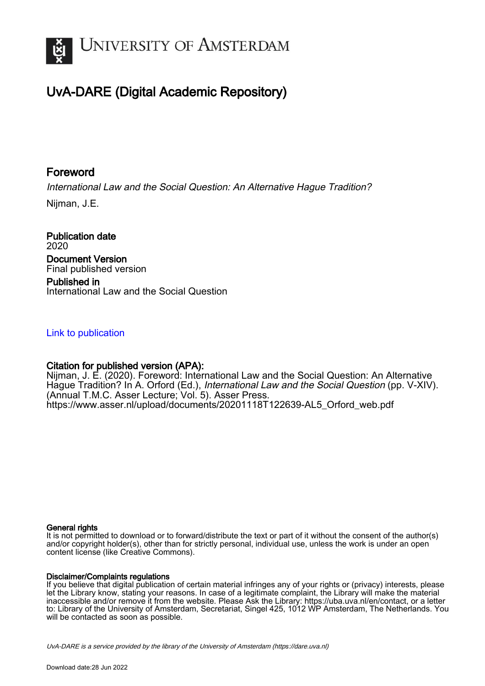

# UvA-DARE (Digital Academic Repository)

# Foreword

International Law and the Social Question: An Alternative Hague Tradition?

Nijman, J.E.

Publication date 2020 Document Version Final published version Published in

International Law and the Social Question

## [Link to publication](https://dare.uva.nl/personal/pure/en/publications/foreword(06393c6e-c46b-4a29-a45f-60171d93b0fe).html)

## Citation for published version (APA):

Nijman, J. E. (2020). Foreword: International Law and the Social Question: An Alternative Hague Tradition? In A. Orford (Ed.), International Law and the Social Question (pp. V-XIV). (Annual T.M.C. Asser Lecture; Vol. 5). Asser Press. [https://www.asser.nl/upload/documents/20201118T122639-AL5\\_Orford\\_web.pdf](https://www.asser.nl/upload/documents/20201118T122639-AL5_Orford_web.pdf)

## General rights

It is not permitted to download or to forward/distribute the text or part of it without the consent of the author(s) and/or copyright holder(s), other than for strictly personal, individual use, unless the work is under an open content license (like Creative Commons).

## Disclaimer/Complaints regulations

If you believe that digital publication of certain material infringes any of your rights or (privacy) interests, please let the Library know, stating your reasons. In case of a legitimate complaint, the Library will make the material inaccessible and/or remove it from the website. Please Ask the Library: https://uba.uva.nl/en/contact, or a letter to: Library of the University of Amsterdam, Secretariat, Singel 425, 1012 WP Amsterdam, The Netherlands. You will be contacted as soon as possible.

UvA-DARE is a service provided by the library of the University of Amsterdam (http*s*://dare.uva.nl)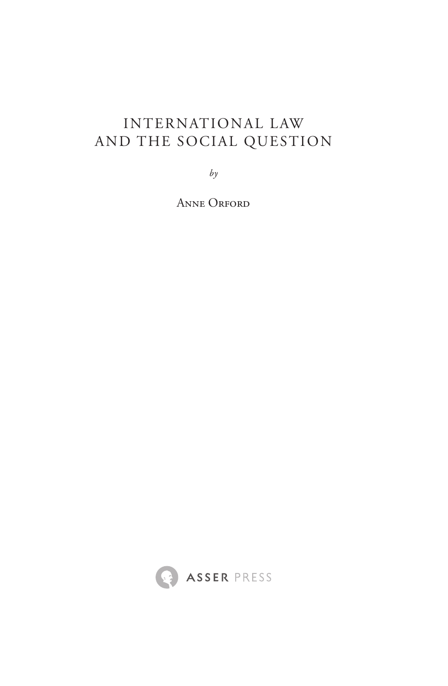# International Law and the Social Question

*by*

Anne Orford

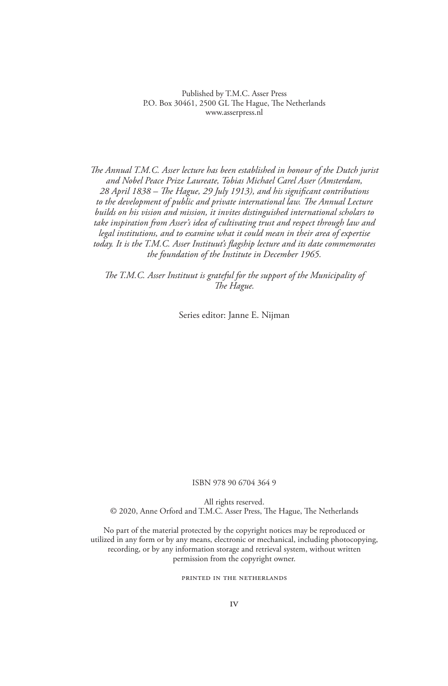Published by T.M.C. Asser Press P.O. Box 30461, 2500 GL The Hague, The Netherlands www.asserpress.nl

*The Annual T.M.C. Asser lecture has been established in honour of the Dutch jurist and Nobel Peace Prize Laureate, Tobias Michael Carel Asser (Amsterdam, 28 April 1838 – The Hague, 29 July 1913), and his significant contributions to the development of public and private international law. The Annual Lecture builds on his vision and mission, it invites distinguished international scholars to take inspiration from Asser's idea of cultivating trust and respect through law and legal institutions, and to examine what it could mean in their area of expertise today. It is the T.M.C. Asser Instituut's flagship lecture and its date commemorates the foundation of the Institute in December 1965.*

*The T.M.C. Asser Instituut is grateful for the support of the Municipality of The Hague.*

Series editor: Janne E. Nijman

#### ISBN 978 90 6704 364 9

All rights reserved. © 2020, Anne Orford and T.M.C. Asser Press, The Hague, The Netherlands

No part of the material protected by the copyright notices may be reproduced or utilized in any form or by any means, electronic or mechanical, including photocopying, recording, or by any information storage and retrieval system, without written permission from the copyright owner.

#### PRINTED IN THE NETHERLANDS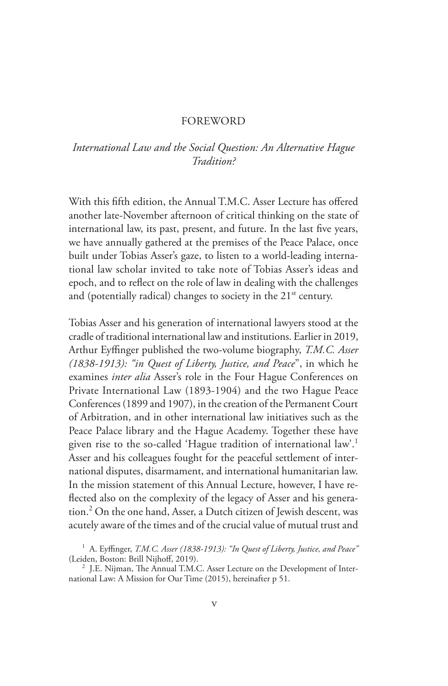## **FOREWORD**

## *International Law and the Social Question: An Alternative Hague Tradition?*

With this fifth edition, the Annual T.M.C. Asser Lecture has offered another late-November afternoon of critical thinking on the state of international law, its past, present, and future. In the last five years, we have annually gathered at the premises of the Peace Palace, once built under Tobias Asser's gaze, to listen to a world-leading international law scholar invited to take note of Tobias Asser's ideas and epoch, and to reflect on the role of law in dealing with the challenges and (potentially radical) changes to society in the  $21<sup>st</sup>$  century.

Tobias Asser and his generation of international lawyers stood at the cradle of traditional international law and institutions. Earlier in 2019, Arthur Eyffinger published the two-volume biography, *T.M.C. Asser (1838-1913): "in Quest of Liberty, Justice, and Peace*", in which he examines *inter alia* Asser's role in the Four Hague Conferences on Private International Law (1893-1904) and the two Hague Peace Conferences (1899 and 1907), in the creation of the Permanent Court of Arbitration, and in other international law initiatives such as the Peace Palace library and the Hague Academy. Together these have given rise to the so-called 'Hague tradition of international law'.<sup>1</sup> Asser and his colleagues fought for the peaceful settlement of international disputes, disarmament, and international humanitarian law. In the mission statement of this Annual Lecture, however, I have reflected also on the complexity of the legacy of Asser and his generation.<sup>2</sup> On the one hand, Asser, a Dutch citizen of Jewish descent, was acutely aware of the times and of the crucial value of mutual trust and

<sup>1</sup> A. Eyffinger, *T.M.C. Asser (1838-1913): "In Quest of Liberty, Justice, and Peace"* (Leiden, Boston: Brill Nijhoff, 2019).

 $2$  J.E. Nijman, The Annual T.M.C. Asser Lecture on the Development of International Law: A Mission for Our Time (2015), hereinafter p 51.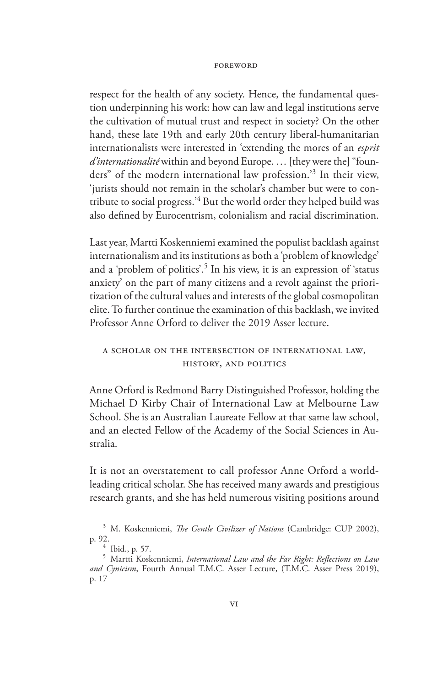respect for the health of any society. Hence, the fundamental question underpinning his work: how can law and legal institutions serve the cultivation of mutual trust and respect in society? On the other hand, these late 19th and early 20th century liberal-humanitarian internationalists were interested in 'extending the mores of an *esprit d'internationalité* within and beyond Europe. … [they were the] "founders" of the modern international law profession.'<sup>3</sup> In their view, 'jurists should not remain in the scholar's chamber but were to contribute to social progress.'4 But the world order they helped build was also defined by Eurocentrism, colonialism and racial discrimination.

Last year, Martti Koskenniemi examined the populist backlash against internationalism and its institutions as both a 'problem of knowledge' and a 'problem of politics'.<sup>5</sup> In his view, it is an expression of 'status anxiety' on the part of many citizens and a revolt against the prioritization of the cultural values and interests of the global cosmopolitan elite. To further continue the examination of this backlash, we invited Professor Anne Orford to deliver the 2019 Asser lecture.

## A Scholar on the Intersection of International Law, History, and Politics

Anne Orford is Redmond Barry Distinguished Professor, holding the Michael D Kirby Chair of International Law at Melbourne Law School. She is an Australian Laureate Fellow at that same law school, and an elected Fellow of the Academy of the Social Sciences in Australia.

It is not an overstatement to call professor Anne Orford a worldleading critical scholar. She has received many awards and prestigious research grants, and she has held numerous visiting positions around

<sup>3</sup> M. Koskenniemi, *The Gentle Civilizer of Nations* (Cambridge: CUP 2002), p. 92. <sup>4</sup> Ibid., p. 57. <sup>5</sup> Martti Koskenniemi, *International Law and the Far Right: Reflections on Law* 

*and Cynicism*, Fourth Annual T.M.C. Asser Lecture, (T.M.C. Asser Press 2019), p. 17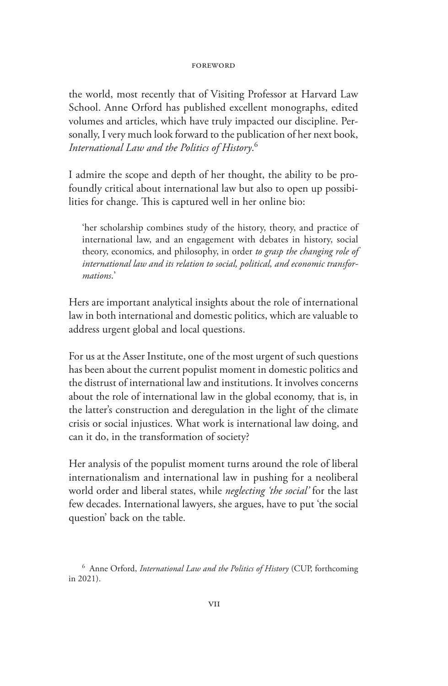the world, most recently that of Visiting Professor at Harvard Law School. Anne Orford has published excellent monographs, edited volumes and articles, which have truly impacted our discipline. Personally, I very much look forward to the publication of her next book, *International Law and the Politics of History*. 6

I admire the scope and depth of her thought, the ability to be profoundly critical about international law but also to open up possibilities for change. This is captured well in her online bio:

'her scholarship combines study of the history, theory, and practice of international law, and an engagement with debates in history, social theory, economics, and philosophy, in order *to grasp the changing role of international law and its relation to social, political, and economic transformations*.'

Hers are important analytical insights about the role of international law in both international and domestic politics, which are valuable to address urgent global and local questions.

For us at the Asser Institute, one of the most urgent of such questions has been about the current populist moment in domestic politics and the distrust of international law and institutions. It involves concerns about the role of international law in the global economy, that is, in the latter's construction and deregulation in the light of the climate crisis or social injustices. What work is international law doing, and can it do, in the transformation of society?

Her analysis of the populist moment turns around the role of liberal internationalism and international law in pushing for a neoliberal world order and liberal states, while *neglecting 'the social'* for the last few decades. International lawyers, she argues, have to put 'the social question' back on the table.

<sup>6</sup> Anne Orford, *International Law and the Politics of History* (CUP, forthcoming in 2021).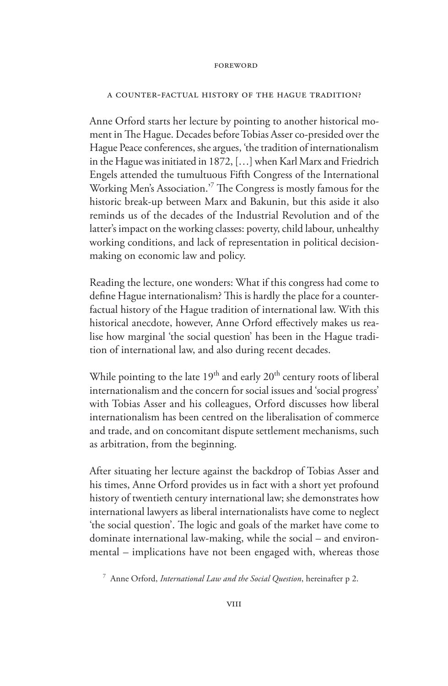### A Counter-factual History of the Hague Tradition?

Anne Orford starts her lecture by pointing to another historical moment in The Hague. Decades before Tobias Asser co-presided over the Hague Peace conferences, she argues, 'the tradition of internationalism in the Hague was initiated in 1872, […] when Karl Marx and Friedrich Engels attended the tumultuous Fifth Congress of the International Working Men's Association.'7 The Congress is mostly famous for the historic break-up between Marx and Bakunin, but this aside it also reminds us of the decades of the Industrial Revolution and of the latter's impact on the working classes: poverty, child labour, unhealthy working conditions, and lack of representation in political decisionmaking on economic law and policy.

Reading the lecture, one wonders: What if this congress had come to define Hague internationalism? This is hardly the place for a counterfactual history of the Hague tradition of international law. With this historical anecdote, however, Anne Orford effectively makes us realise how marginal 'the social question' has been in the Hague tradition of international law, and also during recent decades.

While pointing to the late  $19<sup>th</sup>$  and early  $20<sup>th</sup>$  century roots of liberal internationalism and the concern for social issues and 'social progress' with Tobias Asser and his colleagues, Orford discusses how liberal internationalism has been centred on the liberalisation of commerce and trade, and on concomitant dispute settlement mechanisms, such as arbitration, from the beginning.

After situating her lecture against the backdrop of Tobias Asser and his times, Anne Orford provides us in fact with a short yet profound history of twentieth century international law; she demonstrates how international lawyers as liberal internationalists have come to neglect 'the social question'. The logic and goals of the market have come to dominate international law-making, while the social – and environmental – implications have not been engaged with, whereas those

<sup>7</sup> Anne Orford, *International Law and the Social Question*, hereinafter p 2.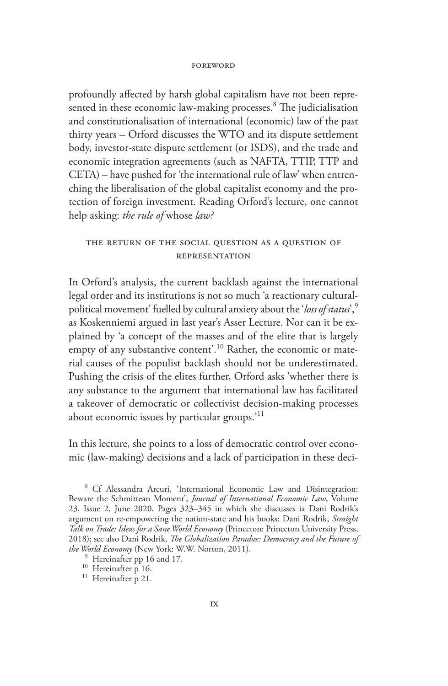#### **EOREWORD**

profoundly affected by harsh global capitalism have not been represented in these economic law-making processes.<sup>8</sup> The judicialisation and constitutionalisation of international (economic) law of the past thirty years – Orford discusses the WTO and its dispute settlement body, investor-state dispute settlement (or ISDS), and the trade and economic integration agreements (such as NAFTA, TTIP, TTP and CETA) – have pushed for 'the international rule of law' when entrenching the liberalisation of the global capitalist economy and the protection of foreign investment. Reading Orford's lecture, one cannot help asking: *the rule of* whose *law?*

## The Return of the Social Question as a Question of Representation

In Orford's analysis, the current backlash against the international legal order and its institutions is not so much 'a reactionary culturalpolitical movement' fuelled by cultural anxiety about the '*loss of status*',9 as Koskenniemi argued in last year's Asser Lecture. Nor can it be explained by 'a concept of the masses and of the elite that is largely empty of any substantive content'.<sup>10</sup> Rather, the economic or material causes of the populist backlash should not be underestimated. Pushing the crisis of the elites further, Orford asks 'whether there is any substance to the argument that international law has facilitated a takeover of democratic or collectivist decision-making processes about economic issues by particular groups.'<sup>11</sup>

In this lecture, she points to a loss of democratic control over economic (law-making) decisions and a lack of participation in these deci-

<sup>8</sup> Cf Alessandra Arcuri, 'International Economic Law and Disintegration: Beware the Schmittean Moment', *Journal of International Economic Law*, Volume 23, Issue 2, June 2020, Pages 323–345 in which she discusses ia Dani Rodrik's argument on re-empowering the nation-state and his books: Dani Rodrik, *Straight Talk on Trade: Ideas for a Sane World Economy* (Princeton: Princeton University Press, 2018); see also Dani Rodrik*, The Globalization Paradox: Democracy and the Future of the World Economy* (New York: W.W. Norton, 2011).<br><sup>9</sup> Hereinafter pp 16 and 17.<br><sup>10</sup> Hereinafter p 16.<br><sup>11</sup> Hereinafter p 21.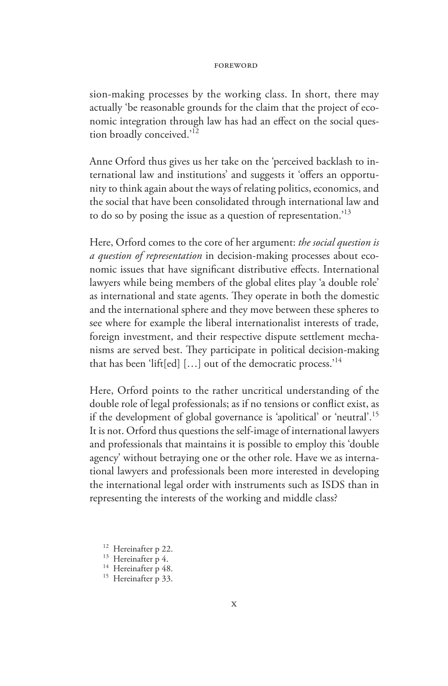sion-making processes by the working class. In short, there may actually 'be reasonable grounds for the claim that the project of economic integration through law has had an effect on the social question broadly conceived.'<sup>12</sup>

Anne Orford thus gives us her take on the 'perceived backlash to international law and institutions' and suggests it 'offers an opportunity to think again about the ways of relating politics, economics, and the social that have been consolidated through international law and to do so by posing the issue as a question of representation.'13

Here, Orford comes to the core of her argument: *the social question is a question of representation* in decision-making processes about economic issues that have significant distributive effects. International lawyers while being members of the global elites play 'a double role' as international and state agents. They operate in both the domestic and the international sphere and they move between these spheres to see where for example the liberal internationalist interests of trade, foreign investment, and their respective dispute settlement mechanisms are served best. They participate in political decision-making that has been 'lift[ed] […] out of the democratic process.'14

Here, Orford points to the rather uncritical understanding of the double role of legal professionals; as if no tensions or conflict exist, as if the development of global governance is 'apolitical' or 'neutral'.15 It is not. Orford thus questions the self-image of international lawyers and professionals that maintains it is possible to employ this 'double agency' without betraying one or the other role. Have we as international lawyers and professionals been more interested in developing the international legal order with instruments such as ISDS than in representing the interests of the working and middle class?

<sup>&</sup>lt;sup>12</sup> Hereinafter p 22.<br><sup>13</sup> Hereinafter p 4.<br><sup>14</sup> Hereinafter p 48.<br><sup>15</sup> Hereinafter p 33.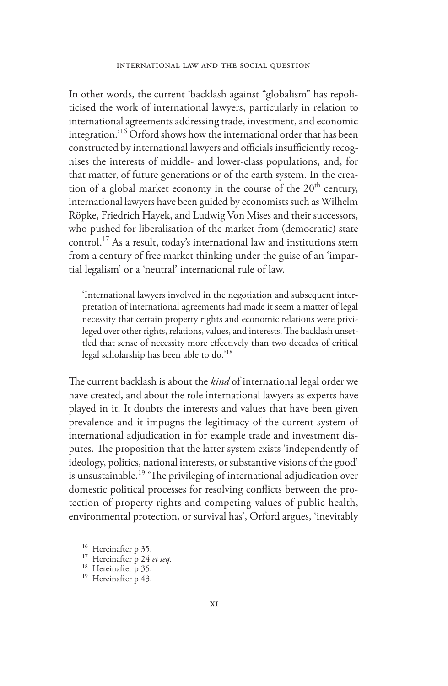In other words, the current 'backlash against "globalism" has repoliticised the work of international lawyers, particularly in relation to international agreements addressing trade, investment, and economic integration.'16 Orford shows how the international order that has been constructed by international lawyers and officials insufficiently recognises the interests of middle- and lower-class populations, and, for that matter, of future generations or of the earth system. In the creation of a global market economy in the course of the  $20<sup>th</sup>$  century, international lawyers have been guided by economists such as Wilhelm Röpke, Friedrich Hayek, and Ludwig Von Mises and their successors, who pushed for liberalisation of the market from (democratic) state control.17 As a result, today's international law and institutions stem from a century of free market thinking under the guise of an 'impartial legalism' or a 'neutral' international rule of law.

'International lawyers involved in the negotiation and subsequent interpretation of international agreements had made it seem a matter of legal necessity that certain property rights and economic relations were privileged over other rights, relations, values, and interests. The backlash unsettled that sense of necessity more effectively than two decades of critical legal scholarship has been able to do.<sup>18</sup>

The current backlash is about the *kind* of international legal order we have created, and about the role international lawyers as experts have played in it. It doubts the interests and values that have been given prevalence and it impugns the legitimacy of the current system of international adjudication in for example trade and investment disputes. The proposition that the latter system exists 'independently of ideology, politics, national interests, or substantive visions of the good' is unsustainable.<sup>19</sup> The privileging of international adjudication over domestic political processes for resolving conflicts between the protection of property rights and competing values of public health, environmental protection, or survival has', Orford argues, 'inevitably

<sup>16</sup> Hereinafter p 35.<br><sup>17</sup> Hereinafter p 24 *et seq*.<br><sup>18</sup> Hereinafter p 35.<br><sup>19</sup> Hereinafter p 43.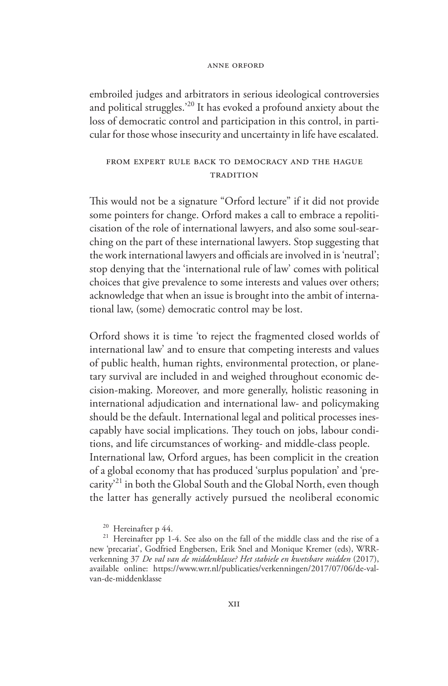#### Anne Orford

embroiled judges and arbitrators in serious ideological controversies and political struggles.'20 It has evoked a profound anxiety about the loss of democratic control and participation in this control, in particular for those whose insecurity and uncertainty in life have escalated.

## From Expert Rule Back to Democracy and the Hague **TRADITION**

This would not be a signature "Orford lecture" if it did not provide some pointers for change. Orford makes a call to embrace a repoliticisation of the role of international lawyers, and also some soul-searching on the part of these international lawyers. Stop suggesting that the work international lawyers and officials are involved in is 'neutral'; stop denying that the 'international rule of law' comes with political choices that give prevalence to some interests and values over others; acknowledge that when an issue is brought into the ambit of international law, (some) democratic control may be lost.

Orford shows it is time 'to reject the fragmented closed worlds of international law' and to ensure that competing interests and values of public health, human rights, environmental protection, or planetary survival are included in and weighed throughout economic decision-making. Moreover, and more generally, holistic reasoning in international adjudication and international law- and policymaking should be the default. International legal and political processes inescapably have social implications. They touch on jobs, labour conditions, and life circumstances of working- and middle-class people. International law, Orford argues, has been complicit in the creation of a global economy that has produced 'surplus population' and 'precarity'21 in both the Global South and the Global North, even though the latter has generally actively pursued the neoliberal economic

<sup>&</sup>lt;sup>20</sup> Hereinafter p 44.<br><sup>21</sup> Hereinafter pp 1-4. See also on the fall of the middle class and the rise of a new 'precariat', Godfried Engbersen, Erik Snel and Monique Kremer (eds), WRRverkenning 37 *De val van de middenklasse? Het stabiele en kwetsbare midden* (2017), available online: https://www.wrr.nl/publicaties/verkenningen/2017/07/06/de-valvan-de-middenklasse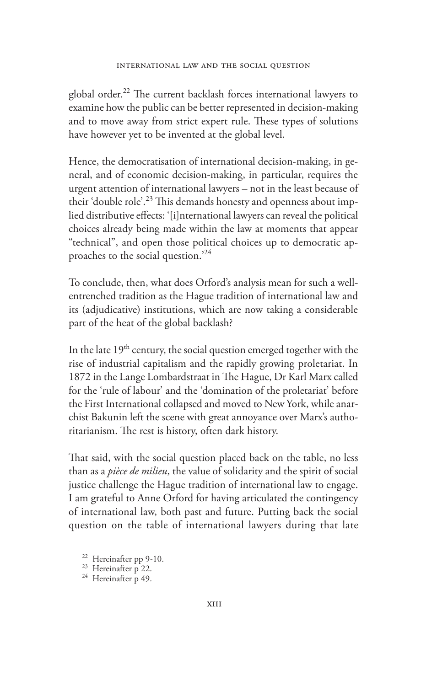global order.<sup>22</sup> The current backlash forces international lawyers to examine how the public can be better represented in decision-making and to move away from strict expert rule. These types of solutions have however yet to be invented at the global level.

Hence, the democratisation of international decision-making, in general, and of economic decision-making, in particular, requires the urgent attention of international lawyers – not in the least because of their 'double role'.<sup>23</sup> This demands honesty and openness about implied distributive effects: '[i]nternational lawyers can reveal the political choices already being made within the law at moments that appear "technical", and open those political choices up to democratic approaches to the social question.'<sup>24</sup>

To conclude, then, what does Orford's analysis mean for such a wellentrenched tradition as the Hague tradition of international law and its (adjudicative) institutions, which are now taking a considerable part of the heat of the global backlash?

In the late 19<sup>th</sup> century, the social question emerged together with the rise of industrial capitalism and the rapidly growing proletariat. In 1872 in the Lange Lombardstraat in The Hague, Dr Karl Marx called for the 'rule of labour' and the 'domination of the proletariat' before the First International collapsed and moved to New York, while anarchist Bakunin left the scene with great annoyance over Marx's authoritarianism. The rest is history, often dark history.

That said, with the social question placed back on the table, no less than as a *pièce de milieu*, the value of solidarity and the spirit of social justice challenge the Hague tradition of international law to engage. I am grateful to Anne Orford for having articulated the contingency of international law, both past and future. Putting back the social question on the table of international lawyers during that late

<sup>22</sup> Hereinafter pp 9-10.<br><sup>23</sup> Hereinafter p 22.<br><sup>24</sup> Hereinafter p 49.